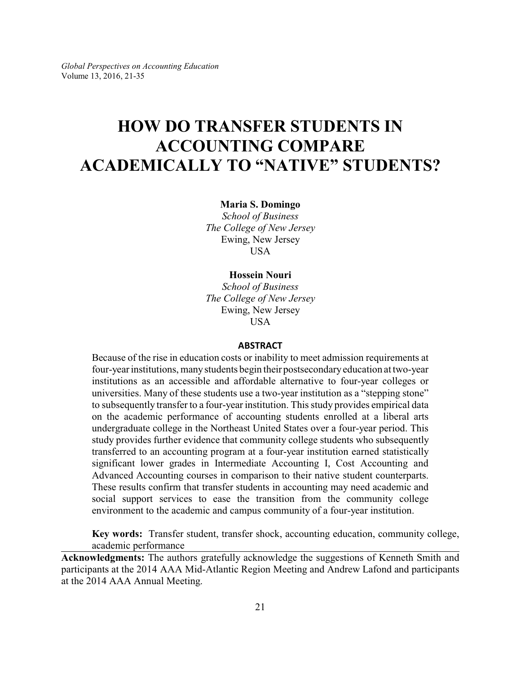# **HOW DO TRANSFER STUDENTS IN ACCOUNTING COMPARE ACADEMICALLY TO "NATIVE" STUDENTS?**

**Maria S. Domingo**

*School of Business The College of New Jersey* Ewing, New Jersey USA

#### **Hossein Nouri**

*School of Business The College of New Jersey* Ewing, New Jersey **USA** 

#### **ABSTRACT**

Because of the rise in education costs or inability to meet admission requirements at four-year institutions, manystudents begin their postsecondaryeducation at two-year institutions as an accessible and affordable alternative to four-year colleges or universities. Many of these students use a two-year institution as a "stepping stone" to subsequently transfer to a four-year institution. This study provides empirical data on the academic performance of accounting students enrolled at a liberal arts undergraduate college in the Northeast United States over a four-year period. This study provides further evidence that community college students who subsequently transferred to an accounting program at a four-year institution earned statistically significant lower grades in Intermediate Accounting I, Cost Accounting and Advanced Accounting courses in comparison to their native student counterparts. These results confirm that transfer students in accounting may need academic and social support services to ease the transition from the community college environment to the academic and campus community of a four-year institution.

**Key words:** Transfer student, transfer shock, accounting education, community college, academic performance

**Acknowledgments:** The authors gratefully acknowledge the suggestions of Kenneth Smith and participants at the 2014 AAA Mid-Atlantic Region Meeting and Andrew Lafond and participants at the 2014 AAA Annual Meeting.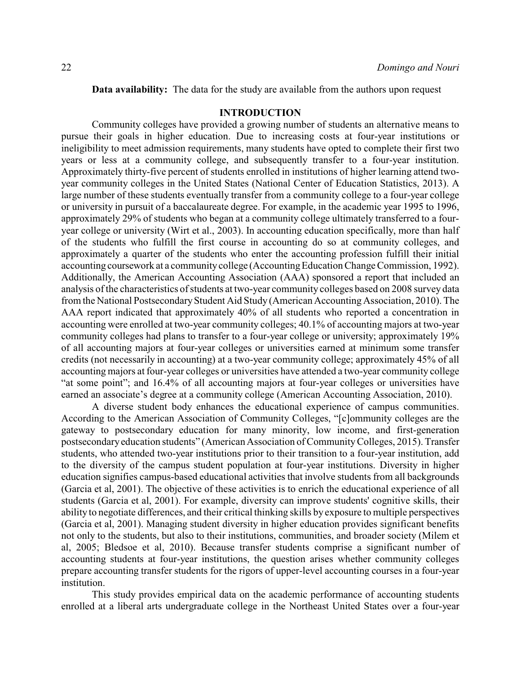**Data availability:** The data for the study are available from the authors upon request

### **INTRODUCTION**

Community colleges have provided a growing number of students an alternative means to pursue their goals in higher education. Due to increasing costs at four-year institutions or ineligibility to meet admission requirements, many students have opted to complete their first two years or less at a community college, and subsequently transfer to a four-year institution. Approximately thirty-five percent of students enrolled in institutions of higher learning attend twoyear community colleges in the United States (National Center of Education Statistics, 2013). A large number of these students eventually transfer from a community college to a four-year college or university in pursuit of a baccalaureate degree. For example, in the academic year 1995 to 1996, approximately 29% of students who began at a community college ultimately transferred to a fouryear college or university (Wirt et al., 2003). In accounting education specifically, more than half of the students who fulfill the first course in accounting do so at community colleges, and approximately a quarter of the students who enter the accounting profession fulfill their initial accounting coursework at a communitycollege (AccountingEducation Change Commission, 1992). Additionally, the American Accounting Association (AAA) sponsored a report that included an analysis of the characteristics of students at two-year community colleges based on 2008 survey data from the National PostsecondaryStudent Aid Study (American Accounting Association, 2010). The AAA report indicated that approximately 40% of all students who reported a concentration in accounting were enrolled at two-year community colleges; 40.1% of accounting majors at two-year community colleges had plans to transfer to a four-year college or university; approximately 19% of all accounting majors at four-year colleges or universities earned at minimum some transfer credits (not necessarily in accounting) at a two-year community college; approximately 45% of all accounting majors at four-year colleges or universities have attended a two-year community college "at some point"; and 16.4% of all accounting majors at four-year colleges or universities have earned an associate's degree at a community college (American Accounting Association, 2010).

A diverse student body enhances the educational experience of campus communities. According to the American Association of Community Colleges, "[c]ommunity colleges are the gateway to postsecondary education for many minority, low income, and first-generation postsecondaryeducation students" (American Association of CommunityColleges, 2015). Transfer students, who attended two-year institutions prior to their transition to a four-year institution, add to the diversity of the campus student population at four-year institutions. Diversity in higher education signifies campus-based educational activities that involve students from all backgrounds (Garcia et al, 2001). The objective of these activities is to enrich the educational experience of all students (Garcia et al, 2001). For example, diversity can improve students' cognitive skills, their ability to negotiate differences, and their critical thinking skills by exposure to multiple perspectives (Garcia et al, 2001). Managing student diversity in higher education provides significant benefits not only to the students, but also to their institutions, communities, and broader society (Milem et al, 2005; Bledsoe et al, 2010). Because transfer students comprise a significant number of accounting students at four-year institutions, the question arises whether community colleges prepare accounting transfer students for the rigors of upper-level accounting courses in a four-year institution.

This study provides empirical data on the academic performance of accounting students enrolled at a liberal arts undergraduate college in the Northeast United States over a four-year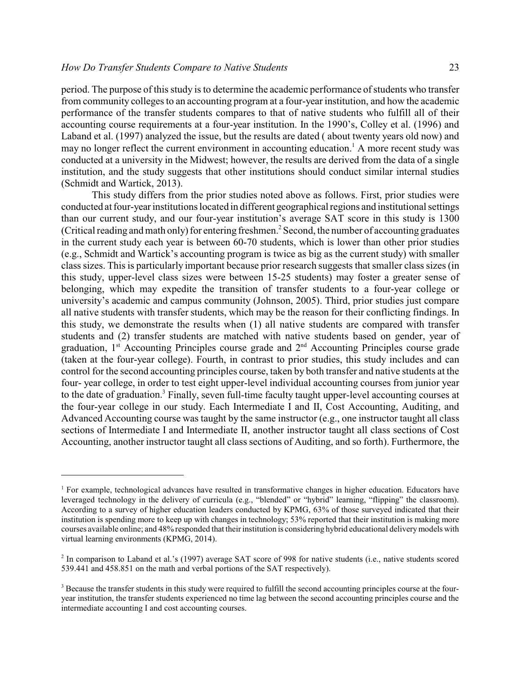period. The purpose of this study is to determine the academic performance of students who transfer from community colleges to an accounting program at a four-year institution, and how the academic performance of the transfer students compares to that of native students who fulfill all of their accounting course requirements at a four-year institution. In the 1990's, Colley et al. (1996) and Laband et al. (1997) analyzed the issue, but the results are dated ( about twenty years old now) and may no longer reflect the current environment in accounting education.<sup>1</sup> A more recent study was conducted at a university in the Midwest; however, the results are derived from the data of a single institution, and the study suggests that other institutions should conduct similar internal studies (Schmidt and Wartick, 2013).

This study differs from the prior studies noted above as follows. First, prior studies were conducted at four-year institutions located in different geographical regions and institutional settings than our current study, and our four-year institution's average SAT score in this study is 1300 (Critical reading and math only) for entering freshmen.<sup>2</sup> Second, the number of accounting graduates in the current study each year is between 60-70 students, which is lower than other prior studies (e.g., Schmidt and Wartick's accounting program is twice as big as the current study) with smaller class sizes. This is particularly important because prior research suggests that smaller class sizes (in this study, upper-level class sizes were between 15-25 students) may foster a greater sense of belonging, which may expedite the transition of transfer students to a four-year college or university's academic and campus community (Johnson, 2005). Third, prior studies just compare all native students with transfer students, which may be the reason for their conflicting findings. In this study, we demonstrate the results when (1) all native students are compared with transfer students and (2) transfer students are matched with native students based on gender, year of graduation,  $1<sup>st</sup>$  Accounting Principles course grade and  $2<sup>nd</sup>$  Accounting Principles course grade (taken at the four-year college). Fourth, in contrast to prior studies, this study includes and can control for the second accounting principles course, taken by both transfer and native students at the four- year college, in order to test eight upper-level individual accounting courses from junior year to the date of graduation.<sup>3</sup> Finally, seven full-time faculty taught upper-level accounting courses at the four-year college in our study. Each Intermediate I and II, Cost Accounting, Auditing, and Advanced Accounting course was taught by the same instructor (e.g., one instructor taught all class sections of Intermediate I and Intermediate II, another instructor taught all class sections of Cost Accounting, another instructor taught all class sections of Auditing, and so forth). Furthermore, the

<sup>&</sup>lt;sup>1</sup> For example, technological advances have resulted in transformative changes in higher education. Educators have leveraged technology in the delivery of curricula (e.g., "blended" or "hybrid" learning, "flipping" the classroom). According to a survey of higher education leaders conducted by KPMG, 63% of those surveyed indicated that their institution is spending more to keep up with changes in technology; 53% reported that their institution is making more courses available online; and 48% responded that their institution is considering hybrid educational deliverymodels with virtual learning environments (KPMG, 2014).

 $2$  In comparison to Laband et al.'s (1997) average SAT score of 998 for native students (i.e., native students scored 539.441 and 458.851 on the math and verbal portions of the SAT respectively).

<sup>&</sup>lt;sup>3</sup> Because the transfer students in this study were required to fulfill the second accounting principles course at the fouryear institution, the transfer students experienced no time lag between the second accounting principles course and the intermediate accounting I and cost accounting courses.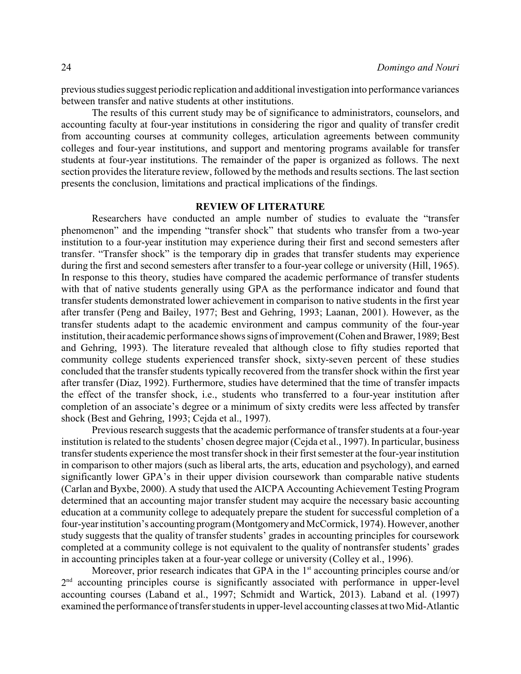previousstudies suggest periodic replication and additional investigation into performance variances between transfer and native students at other institutions.

The results of this current study may be of significance to administrators, counselors, and accounting faculty at four-year institutions in considering the rigor and quality of transfer credit from accounting courses at community colleges, articulation agreements between community colleges and four-year institutions, and support and mentoring programs available for transfer students at four-year institutions. The remainder of the paper is organized as follows. The next section provides the literature review, followed by the methods and results sections. The last section presents the conclusion, limitations and practical implications of the findings.

### **REVIEW OF LITERATURE**

Researchers have conducted an ample number of studies to evaluate the "transfer phenomenon" and the impending "transfer shock" that students who transfer from a two-year institution to a four-year institution may experience during their first and second semesters after transfer. "Transfer shock" is the temporary dip in grades that transfer students may experience during the first and second semesters after transfer to a four-year college or university (Hill, 1965). In response to this theory, studies have compared the academic performance of transfer students with that of native students generally using GPA as the performance indicator and found that transfer students demonstrated lower achievement in comparison to native students in the first year after transfer (Peng and Bailey, 1977; Best and Gehring, 1993; Laanan, 2001). However, as the transfer students adapt to the academic environment and campus community of the four-year institution, their academic performance shows signs of improvement (Cohen and Brawer, 1989; Best and Gehring, 1993). The literature revealed that although close to fifty studies reported that community college students experienced transfer shock, sixty-seven percent of these studies concluded that the transfer students typically recovered from the transfer shock within the first year after transfer (Diaz, 1992). Furthermore, studies have determined that the time of transfer impacts the effect of the transfer shock, i.e., students who transferred to a four-year institution after completion of an associate's degree or a minimum of sixty credits were less affected by transfer shock (Best and Gehring, 1993; Cejda et al., 1997).

Previous research suggests that the academic performance of transfer students at a four-year institution is related to the students' chosen degree major (Cejda et al., 1997). In particular, business transfer students experience the most transfer shock in their first semester at the four-year institution in comparison to other majors (such as liberal arts, the arts, education and psychology), and earned significantly lower GPA's in their upper division coursework than comparable native students (Carlan and Byxbe, 2000). A study that used the AICPA Accounting Achievement Testing Program determined that an accounting major transfer student may acquire the necessary basic accounting education at a community college to adequately prepare the student for successful completion of a four-year institution's accounting program (Montgomeryand McCormick, 1974). However, another study suggests that the quality of transfer students' grades in accounting principles for coursework completed at a community college is not equivalent to the quality of nontransfer students' grades in accounting principles taken at a four-year college or university (Colley et al., 1996).

Moreover, prior research indicates that GPA in the 1<sup>st</sup> accounting principles course and/or 2<sup>nd</sup> accounting principles course is significantly associated with performance in upper-level accounting courses (Laband et al., 1997; Schmidt and Wartick, 2013). Laband et al. (1997) examined the performance of transfer students in upper-level accounting classes at two Mid-Atlantic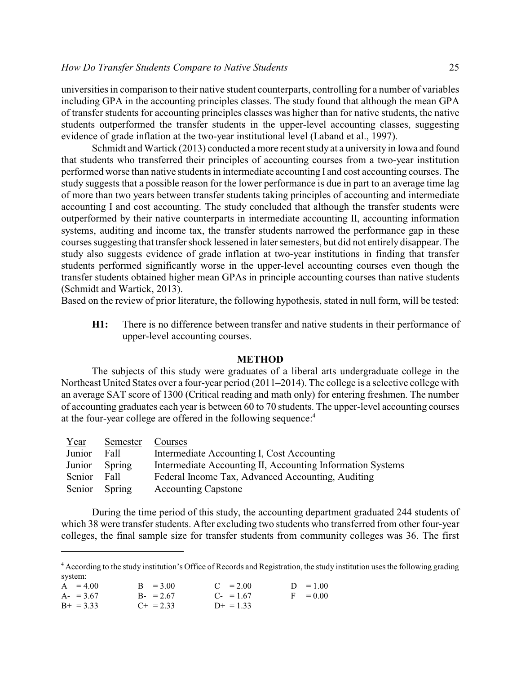universities in comparison to their native student counterparts, controlling for a number of variables including GPA in the accounting principles classes. The study found that although the mean GPA of transfer students for accounting principles classes was higher than for native students, the native students outperformed the transfer students in the upper-level accounting classes, suggesting evidence of grade inflation at the two-year institutional level (Laband et al., 1997).

Schmidt and Wartick (2013) conducted a more recent study at a university in Iowa and found that students who transferred their principles of accounting courses from a two-year institution performed worse than native students in intermediate accounting I and cost accounting courses. The study suggests that a possible reason for the lower performance is due in part to an average time lag of more than two years between transfer students taking principles of accounting and intermediate accounting I and cost accounting. The study concluded that although the transfer students were outperformed by their native counterparts in intermediate accounting II, accounting information systems, auditing and income tax, the transfer students narrowed the performance gap in these courses suggesting that transfer shock lessened in later semesters, but did not entirely disappear. The study also suggests evidence of grade inflation at two-year institutions in finding that transfer students performed significantly worse in the upper-level accounting courses even though the transfer students obtained higher mean GPAs in principle accounting courses than native students (Schmidt and Wartick, 2013).

Based on the review of prior literature, the following hypothesis, stated in null form, will be tested:

**H1:** There is no difference between transfer and native students in their performance of upper-level accounting courses.

#### **METHOD**

The subjects of this study were graduates of a liberal arts undergraduate college in the Northeast United States over a four-year period (2011–2014). The college is a selective college with an average SAT score of 1300 (Critical reading and math only) for entering freshmen. The number of accounting graduates each year is between 60 to 70 students. The upper-level accounting courses at the four-year college are offered in the following sequence:<sup>4</sup>

| Year   | Semester | Courses                                                    |
|--------|----------|------------------------------------------------------------|
| Junior | Fall     | Intermediate Accounting I, Cost Accounting                 |
| Junior | Spring   | Intermediate Accounting II, Accounting Information Systems |
| Senior | Fall     | Federal Income Tax, Advanced Accounting, Auditing          |
| Senior | Spring   | <b>Accounting Capstone</b>                                 |

During the time period of this study, the accounting department graduated 244 students of which 38 were transfer students. After excluding two students who transferred from other four-year colleges, the final sample size for transfer students from community colleges was 36. The first

<sup>&</sup>lt;sup>4</sup> According to the study institution's Office of Records and Registration, the study institution uses the following grading system:

| $A = 4.00$  | $B = 3.00$       | $C = 2.00$            | $D = 1.00$ |
|-------------|------------------|-----------------------|------------|
| $A = 3.67$  | $B - 2.67$       | $C_{\text{F}} = 1.67$ | $F = 0.00$ |
| $B+ = 3.33$ | $C_{\pm} = 2.33$ | $D+ = 1.33$           |            |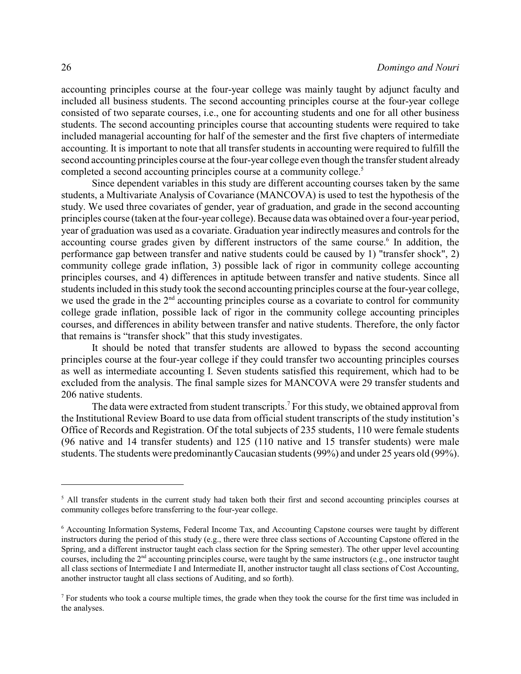accounting principles course at the four-year college was mainly taught by adjunct faculty and included all business students. The second accounting principles course at the four-year college consisted of two separate courses, i.e., one for accounting students and one for all other business students. The second accounting principles course that accounting students were required to take included managerial accounting for half of the semester and the first five chapters of intermediate accounting. It is important to note that all transfer students in accounting were required to fulfill the second accounting principles course at the four-year college even though the transfer student already completed a second accounting principles course at a community college.<sup>5</sup>

Since dependent variables in this study are different accounting courses taken by the same students, a Multivariate Analysis of Covariance (MANCOVA) is used to test the hypothesis of the study. We used three covariates of gender, year of graduation, and grade in the second accounting principles course (taken at the four-year college). Because data was obtained over a four-year period, year of graduation was used as a covariate. Graduation year indirectly measures and controls for the accounting course grades given by different instructors of the same course.<sup>6</sup> In addition, the performance gap between transfer and native students could be caused by 1) "transfer shock", 2) community college grade inflation, 3) possible lack of rigor in community college accounting principles courses, and 4) differences in aptitude between transfer and native students. Since all students included in this study took the second accounting principles course at the four-year college, we used the grade in the  $2<sup>nd</sup>$  accounting principles course as a covariate to control for community college grade inflation, possible lack of rigor in the community college accounting principles courses, and differences in ability between transfer and native students. Therefore, the only factor that remains is "transfer shock" that this study investigates.

It should be noted that transfer students are allowed to bypass the second accounting principles course at the four-year college if they could transfer two accounting principles courses as well as intermediate accounting I. Seven students satisfied this requirement, which had to be excluded from the analysis. The final sample sizes for MANCOVA were 29 transfer students and 206 native students.

The data were extracted from student transcripts.<sup>7</sup> For this study, we obtained approval from the Institutional Review Board to use data from official student transcripts of the study institution's Office of Records and Registration. Of the total subjects of 235 students, 110 were female students (96 native and 14 transfer students) and 125 (110 native and 15 transfer students) were male students. The students were predominantlyCaucasian students (99%) and under 25 years old (99%).

<sup>&</sup>lt;sup>5</sup> All transfer students in the current study had taken both their first and second accounting principles courses at community colleges before transferring to the four-year college.

<sup>6</sup> Accounting Information Systems, Federal Income Tax, and Accounting Capstone courses were taught by different instructors during the period of this study (e.g., there were three class sections of Accounting Capstone offered in the Spring, and a different instructor taught each class section for the Spring semester). The other upper level accounting courses, including the 2<sup>nd</sup> accounting principles course, were taught by the same instructors (e.g., one instructor taught all class sections of Intermediate I and Intermediate II, another instructor taught all class sections of Cost Accounting, another instructor taught all class sections of Auditing, and so forth).

<sup>7</sup> For students who took a course multiple times, the grade when they took the course for the first time was included in the analyses.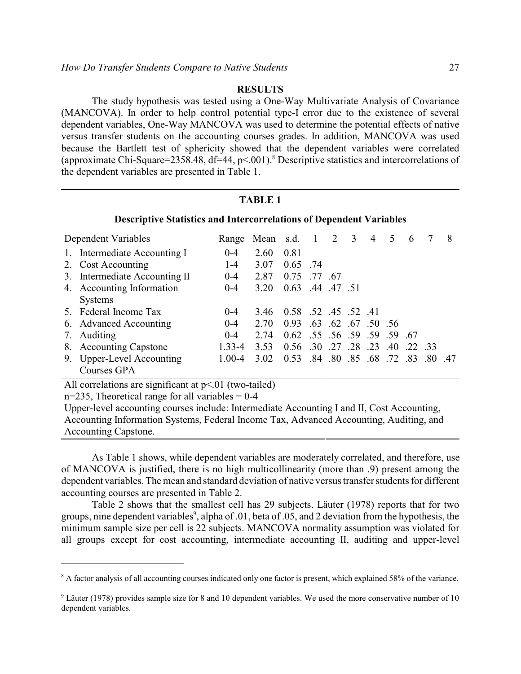### **RESULTS**

The study hypothesis was tested using a One-Way Multivariate Analysis of Covariance (MANCOVA). In order to help control potential type-I error due to the existence of several dependent variables, One-Way MANCOVA was used to determine the potential effects of native versus transfer students on the accounting courses grades. In addition, MANCOVA was used because the Bartlett test of sphericity showed that the dependent variables were correlated (approximate Chi-Square=2358.48, df=44, p<.001).<sup>8</sup> Descriptive statistics and intercorrelations of the dependent variables are presented in Table 1.

#### **TABLE 1**

#### **Descriptive Statistics and Intercorrelations of Dependent Variables**

| Dependent Variables |                                          |            | Range Mean s.d. 1 2 3 |                              |                             |                     | $\overline{4}$ | 5 | 6 |                                     | 8 |
|---------------------|------------------------------------------|------------|-----------------------|------------------------------|-----------------------------|---------------------|----------------|---|---|-------------------------------------|---|
|                     | 1. Intermediate Accounting I             | $0 - 4$    | 2.60                  | 0.81                         |                             |                     |                |   |   |                                     |   |
|                     | 2. Cost Accounting                       | $1 - 4$    | 3.07                  | $0.65$ .74                   |                             |                     |                |   |   |                                     |   |
|                     | 3. Intermediate Accounting II            | $0 - 4$    | 2.87                  | 0.75                         | .77.67                      |                     |                |   |   |                                     |   |
|                     | 4. Accounting Information                | $0 - 4$    | 3.20                  | 0.63 .44 .47 .51             |                             |                     |                |   |   |                                     |   |
|                     | <b>Systems</b>                           |            |                       |                              |                             |                     |                |   |   |                                     |   |
|                     | 5. Federal Income Tax                    | $0 - 4$    | 3.46                  | 0.58 .52 .45 .52 .41         |                             |                     |                |   |   |                                     |   |
|                     | 6. Advanced Accounting                   | $0 - 4$    | 2.70                  | 0.93                         |                             | .63 .62 .67 .50 .56 |                |   |   |                                     |   |
| 7.                  | Auditing                                 | $0 - 4$    | 2.74                  | 0.62 .55 .56 .59 .59 .59 .67 |                             |                     |                |   |   |                                     |   |
|                     | 8. Accounting Capstone                   | $1.33 - 4$ | 3.53                  | 0.56                         | .30 .27 .28 .23 .40 .22 .33 |                     |                |   |   |                                     |   |
|                     | 9. Upper-Level Accounting<br>Courses GPA | $1.00 - 4$ | 3.02                  | 0.53                         |                             |                     |                |   |   | 47. 80. 83. 72. 68. 89. 89. 89. 84. |   |

All correlations are significant at  $p<01$  (two-tailed)

 $n=235$ , Theoretical range for all variables = 0-4

Upper-level accounting courses include: Intermediate Accounting I and II, Cost Accounting, Accounting Information Systems, Federal Income Tax, Advanced Accounting, Auditing, and Accounting Capstone.

As Table 1 shows, while dependent variables are moderately correlated, and therefore, use of MANCOVA is justified, there is no high multicollinearity (more than .9) present among the dependent variables. The mean and standard deviation of native versus transfer students for different accounting courses are presented in Table 2.

Table 2 shows that the smallest cell has 29 subjects. Läuter (1978) reports that for two groups, nine dependent variables<sup>9</sup>, alpha of .01, beta of .05, and 2 deviation from the hypothesis, the minimum sample size per cell is 22 subjects. MANCOVA normality assumption was violated for all groups except for cost accounting, intermediate accounting II, auditing and upper-level

<sup>&</sup>lt;sup>8</sup> A factor analysis of all accounting courses indicated only one factor is present, which explained 58% of the variance.

<sup>&</sup>lt;sup>9</sup> Läuter (1978) provides sample size for 8 and 10 dependent variables. We used the more conservative number of 10 dependent variables.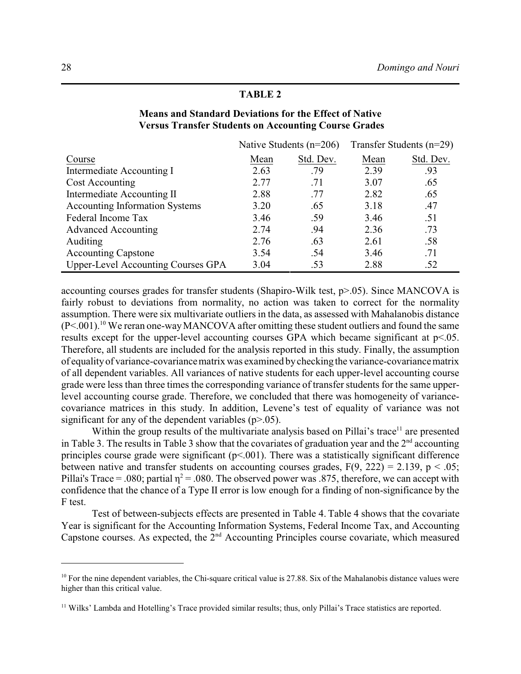|                                       |      | Native Students $(n=206)$ | Transfer Students $(n=29)$ |           |  |
|---------------------------------------|------|---------------------------|----------------------------|-----------|--|
| Course                                | Mean | Std. Dev.                 | Mean                       | Std. Dev. |  |
| Intermediate Accounting I             | 2.63 | .79                       | 2.39                       | .93       |  |
| Cost Accounting                       | 2.77 | .71                       | 3.07                       | .65       |  |
| Intermediate Accounting II            | 2.88 | .77                       | 2.82                       | .65       |  |
| <b>Accounting Information Systems</b> | 3.20 | .65                       | 3.18                       | .47       |  |
| Federal Income Tax                    | 3.46 | .59                       | 3.46                       | .51       |  |
| <b>Advanced Accounting</b>            | 2.74 | .94                       | 2.36                       | .73       |  |
| Auditing                              | 2.76 | .63                       | 2.61                       | .58       |  |
| <b>Accounting Capstone</b>            | 3.54 | .54                       | 3.46                       | .71       |  |
| Upper-Level Accounting Courses GPA    | 3.04 | .53                       | 2.88                       | .52       |  |

### **Means and Standard Deviations for the Effect of Native Versus Transfer Students on Accounting Course Grades**

**TABLE 2**

accounting courses grades for transfer students (Shapiro-Wilk test, p>.05). Since MANCOVA is fairly robust to deviations from normality, no action was taken to correct for the normality assumption. There were six multivariate outliers in the data, as assessed with Mahalanobis distance  $(P<.001)$ .<sup>10</sup> We reran one-way MANCOVA after omitting these student outliers and found the same results except for the upper-level accounting courses GPA which became significant at p<.05. Therefore, all students are included for the analysis reported in this study. Finally, the assumption of equalityof variance-covariance matrix was examined bychecking the variance-covariance matrix of all dependent variables. All variances of native students for each upper-level accounting course grade were less than three times the corresponding variance of transfer students for the same upperlevel accounting course grade. Therefore, we concluded that there was homogeneity of variancecovariance matrices in this study. In addition, Levene's test of equality of variance was not significant for any of the dependent variables  $(p>0.05)$ .

Within the group results of the multivariate analysis based on Pillai's trace<sup>11</sup> are presented in Table 3. The results in Table 3 show that the covariates of graduation year and the  $2<sup>nd</sup>$  accounting principles course grade were significant  $(p<0.01)$ . There was a statistically significant difference between native and transfer students on accounting courses grades,  $F(9, 222) = 2.139$ ,  $p < .05$ ; Pillai's Trace = .080; partial  $\eta^2$  = .080. The observed power was .875, therefore, we can accept with confidence that the chance of a Type II error is low enough for a finding of non-significance by the F test.

Test of between-subjects effects are presented in Table 4. Table 4 shows that the covariate Year is significant for the Accounting Information Systems, Federal Income Tax, and Accounting Capstone courses. As expected, the  $2<sup>nd</sup>$  Accounting Principles course covariate, which measured

<sup>&</sup>lt;sup>10</sup> For the nine dependent variables, the Chi-square critical value is 27.88. Six of the Mahalanobis distance values were higher than this critical value.

<sup>&</sup>lt;sup>11</sup> Wilks' Lambda and Hotelling's Trace provided similar results; thus, only Pillai's Trace statistics are reported.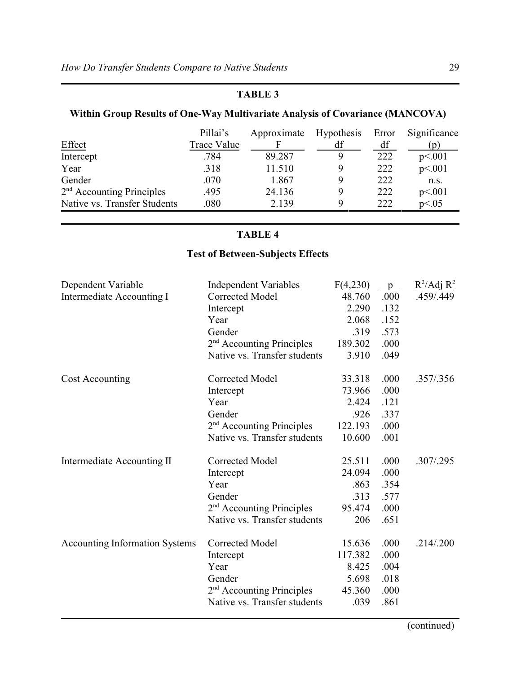### **TABLE 3**

## **Within Group Results of One-Way Multivariate Analysis of Covariance (MANCOVA)**

|                              | Pillai's    | Approximate | Hypothesis | Error | Significance     |
|------------------------------|-------------|-------------|------------|-------|------------------|
| Effect                       | Trace Value |             | df         | df    | $\mathfrak{D}$ ) |
| Intercept                    | .784        | 89.287      | Q          | 222   | p<.001           |
| Year                         | .318        | 11.510      | Q          | 222   | p<.001           |
| Gender                       | .070        | 1.867       | Q          | 222   | n.s.             |
| $2nd$ Accounting Principles  | .495        | 24.136      | Q          | 222   | p<.001           |
| Native vs. Transfer Students | .080        | 2.139       | Q          | 222   | p<0.05           |

### **TABLE 4**

# **Test of Between-Subjects Effects**

| Dependent Variable                    | <b>Independent Variables</b>          | F(4,230) | $\mathfrak{p}$ | $R^2/Adj R^2$ |
|---------------------------------------|---------------------------------------|----------|----------------|---------------|
| Intermediate Accounting I             | <b>Corrected Model</b>                | 48.760   | .000           | .459/.449     |
|                                       | Intercept                             | 2.290    | .132           |               |
|                                       | Year                                  | 2.068    | .152           |               |
|                                       | Gender                                | .319     | .573           |               |
|                                       | $2nd$ Accounting Principles           | 189.302  | .000           |               |
|                                       | Native vs. Transfer students          | 3.910    | .049           |               |
| Cost Accounting                       | <b>Corrected Model</b>                | 33.318   | .000           | .357/.356     |
|                                       | Intercept                             | 73.966   | .000           |               |
|                                       | Year                                  | 2.424    | .121           |               |
|                                       | Gender                                | .926     | .337           |               |
|                                       | $2nd$ Accounting Principles           | 122.193  | .000           |               |
|                                       | Native vs. Transfer students          | 10.600   | .001           |               |
| Intermediate Accounting II            | Corrected Model                       | 25.511   | .000           | .307/.295     |
|                                       | Intercept                             | 24.094   | .000           |               |
|                                       | Year                                  | .863     | .354           |               |
|                                       | Gender                                | .313     | .577           |               |
|                                       | 2 <sup>nd</sup> Accounting Principles | 95.474   | .000           |               |
|                                       | Native vs. Transfer students          | 206      | .651           |               |
| <b>Accounting Information Systems</b> | <b>Corrected Model</b>                | 15.636   | .000           | .214/.200     |
|                                       | Intercept                             | 117.382  | .000           |               |
|                                       | Year                                  | 8.425    | .004           |               |
|                                       | Gender                                | 5.698    | .018           |               |
|                                       | 2 <sup>nd</sup> Accounting Principles | 45.360   | .000           |               |
|                                       | Native vs. Transfer students          | .039     | .861           |               |
|                                       |                                       |          |                |               |

(continued)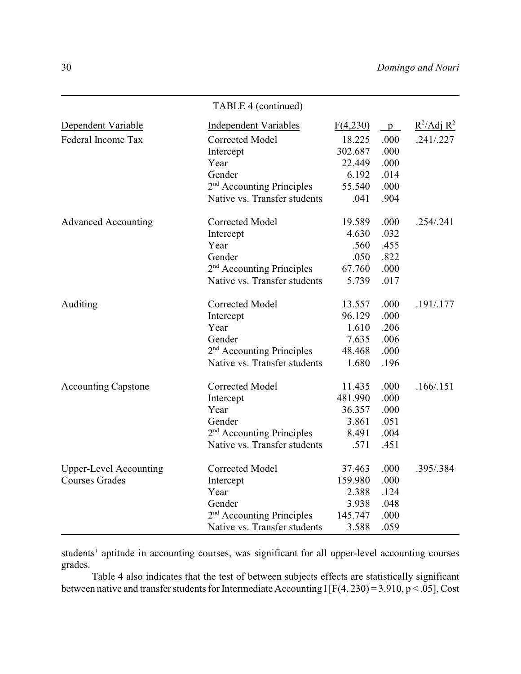|                               | TABLE 4 (continued)                   |          |      |               |
|-------------------------------|---------------------------------------|----------|------|---------------|
| Dependent Variable            | <b>Independent Variables</b>          | F(4,230) | p    | $R^2/Adj R^2$ |
| Federal Income Tax            | <b>Corrected Model</b>                | 18.225   | .000 | .241/.227     |
|                               | Intercept                             | 302.687  | .000 |               |
|                               | Year                                  | 22.449   | .000 |               |
|                               | Gender                                | 6.192    | .014 |               |
|                               | 2 <sup>nd</sup> Accounting Principles | 55.540   | .000 |               |
|                               | Native vs. Transfer students          | .041     | .904 |               |
| <b>Advanced Accounting</b>    | Corrected Model                       | 19.589   | .000 | .254/.241     |
|                               | Intercept                             | 4.630    | .032 |               |
|                               | Year                                  | .560     | .455 |               |
|                               | Gender                                | .050     | .822 |               |
|                               | 2 <sup>nd</sup> Accounting Principles | 67.760   | .000 |               |
|                               | Native vs. Transfer students          | 5.739    | .017 |               |
| Auditing                      | Corrected Model                       | 13.557   | .000 | .191/.177     |
|                               | Intercept                             | 96.129   | .000 |               |
|                               | Year                                  | 1.610    | .206 |               |
|                               | Gender                                | 7.635    | .006 |               |
|                               | 2 <sup>nd</sup> Accounting Principles | 48.468   | .000 |               |
|                               | Native vs. Transfer students          | 1.680    | .196 |               |
| <b>Accounting Capstone</b>    | Corrected Model                       | 11.435   | .000 | .166/0.151    |
|                               | Intercept                             | 481.990  | .000 |               |
|                               | Year                                  | 36.357   | .000 |               |
|                               | Gender                                | 3.861    | .051 |               |
|                               | 2 <sup>nd</sup> Accounting Principles | 8.491    | .004 |               |
|                               | Native vs. Transfer students          | .571     | .451 |               |
| <b>Upper-Level Accounting</b> | Corrected Model                       | 37.463   | .000 | .395/.384     |
| <b>Courses Grades</b>         | Intercept                             | 159.980  | .000 |               |
|                               | Year                                  | 2.388    | .124 |               |
|                               | Gender                                | 3.938    | .048 |               |
|                               | 2 <sup>nd</sup> Accounting Principles | 145.747  | .000 |               |
|                               | Native vs. Transfer students          | 3.588    | .059 |               |

students' aptitude in accounting courses, was significant for all upper-level accounting courses grades.

Table 4 also indicates that the test of between subjects effects are statistically significant between native and transfer students for Intermediate Accounting I [F(4, 230) = 3.910, p < .05], Cost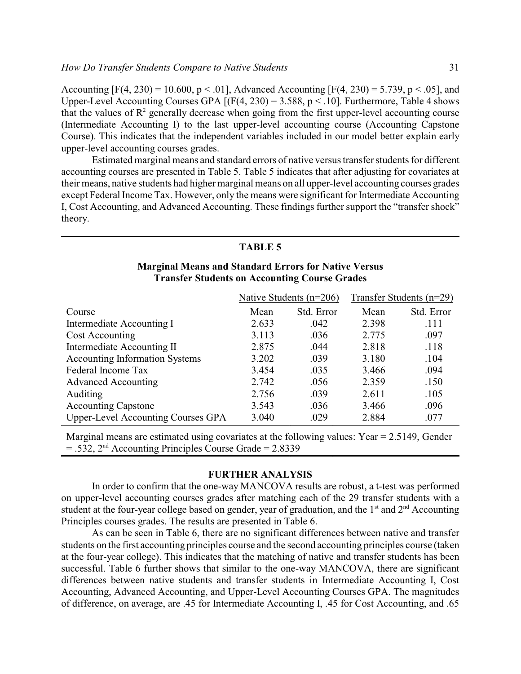Accounting  $[F(4, 230) = 10,600, p < .01]$ , Advanced Accounting  $[F(4, 230) = 5,739, p < .05]$ , and Upper-Level Accounting Courses GPA  $[(F(4, 230) = 3.588, p < .10]$ . Furthermore, Table 4 shows that the values of  $\mathbb{R}^2$  generally decrease when going from the first upper-level accounting course (Intermediate Accounting I) to the last upper-level accounting course (Accounting Capstone Course). This indicates that the independent variables included in our model better explain early upper-level accounting courses grades.

Estimated marginal means and standard errors of native versus transfer students for different accounting courses are presented in Table 5. Table 5 indicates that after adjusting for covariates at their means, native students had higher marginal means on all upper-level accounting courses grades except Federal Income Tax. However, only the means were significant for Intermediate Accounting I, Cost Accounting, and Advanced Accounting. These findings further support the "transfer shock" theory.

#### **TABLE 5**

### **Marginal Means and Standard Errors for Native Versus Transfer Students on Accounting Course Grades**

|                                       |       | Native Students $(n=206)$ |       | Transfer Students $(n=29)$ |
|---------------------------------------|-------|---------------------------|-------|----------------------------|
| Course                                | Mean  | Std. Error                | Mean  | Std. Error                 |
| Intermediate Accounting I             | 2.633 | .042                      | 2.398 | .111                       |
| Cost Accounting                       | 3.113 | .036                      | 2.775 | .097                       |
| Intermediate Accounting II            | 2.875 | .044                      | 2.818 | .118                       |
| <b>Accounting Information Systems</b> | 3.202 | .039                      | 3.180 | .104                       |
| Federal Income Tax                    | 3.454 | .035                      | 3.466 | .094                       |
| <b>Advanced Accounting</b>            | 2.742 | .056                      | 2.359 | .150                       |
| Auditing                              | 2.756 | .039                      | 2.611 | .105                       |
| <b>Accounting Capstone</b>            | 3.543 | .036                      | 3.466 | .096                       |
| Upper-Level Accounting Courses GPA    | 3.040 | .029                      | 2.884 | .077                       |

Marginal means are estimated using covariates at the following values: Year = 2.5149, Gender  $=$  .532, 2<sup>nd</sup> Accounting Principles Course Grade  $=$  2.8339

### **FURTHER ANALYSIS**

In order to confirm that the one-way MANCOVA results are robust, a t-test was performed on upper-level accounting courses grades after matching each of the 29 transfer students with a student at the four-year college based on gender, year of graduation, and the  $1<sup>st</sup>$  and  $2<sup>nd</sup>$  Accounting Principles courses grades. The results are presented in Table 6.

As can be seen in Table 6, there are no significant differences between native and transfer students on the first accounting principles course and the second accounting principles course (taken at the four-year college). This indicates that the matching of native and transfer students has been successful. Table 6 further shows that similar to the one-way MANCOVA, there are significant differences between native students and transfer students in Intermediate Accounting I, Cost Accounting, Advanced Accounting, and Upper-Level Accounting Courses GPA. The magnitudes of difference, on average, are .45 for Intermediate Accounting I, .45 for Cost Accounting, and .65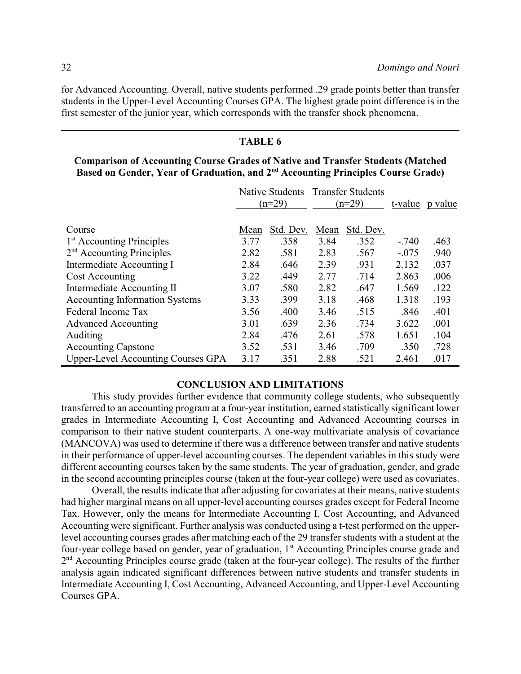for Advanced Accounting. Overall, native students performed .29 grade points better than transfer students in the Upper-Level Accounting Courses GPA. The highest grade point difference is in the first semester of the junior year, which corresponds with the transfer shock phenomena.

### **TABLE 6**

### **Comparison of Accounting Course Grades of Native and Transfer Students (Matched Based on Gender, Year of Graduation, and 2nd Accounting Principles Course Grade)**

|                                           | Native Students<br>$(n=29)$ |           | <b>Transfer Students</b><br>$(n=29)$ |           | t-value | p value |
|-------------------------------------------|-----------------------------|-----------|--------------------------------------|-----------|---------|---------|
| Course                                    | Mean                        | Std. Dev. | Mean                                 | Std. Dev. |         |         |
| 1 <sup>st</sup> Accounting Principles     | 3.77                        | .358      | 3.84                                 | .352      | $-.740$ | .463    |
| $2nd$ Accounting Principles               | 2.82                        | .581      | 2.83                                 | .567      | $-.075$ | .940    |
| Intermediate Accounting I                 | 2.84                        | .646      | 2.39                                 | .931      | 2.132   | .037    |
| Cost Accounting                           | 3.22                        | .449      | 2.77                                 | .714      | 2.863   | .006    |
| Intermediate Accounting II                | 3.07                        | .580      | 2.82                                 | .647      | 1.569   | .122    |
| <b>Accounting Information Systems</b>     | 3.33                        | .399      | 3.18                                 | .468      | 1.318   | .193    |
| Federal Income Tax                        | 3.56                        | .400      | 3.46                                 | .515      | .846    | .401    |
| <b>Advanced Accounting</b>                | 3.01                        | .639      | 2.36                                 | .734      | 3.622   | .001    |
| Auditing                                  | 2.84                        | .476      | 2.61                                 | .578      | 1.651   | .104    |
| <b>Accounting Capstone</b>                | 3.52                        | .531      | 3.46                                 | .709      | .350    | .728    |
| <b>Upper-Level Accounting Courses GPA</b> | 3.17                        | .351      | 2.88                                 | .521      | 2.461   | .017    |

### **CONCLUSION AND LIMITATIONS**

This study provides further evidence that community college students, who subsequently transferred to an accounting program at a four-year institution, earned statistically significant lower grades in Intermediate Accounting I, Cost Accounting and Advanced Accounting courses in comparison to their native student counterparts. A one-way multivariate analysis of covariance (MANCOVA) was used to determine if there was a difference between transfer and native students in their performance of upper-level accounting courses. The dependent variables in this study were different accounting courses taken by the same students. The year of graduation, gender, and grade in the second accounting principles course (taken at the four-year college) were used as covariates.

Overall, the results indicate that after adjusting for covariates at their means, native students had higher marginal means on all upper-level accounting courses grades except for Federal Income Tax. However, only the means for Intermediate Accounting I, Cost Accounting, and Advanced Accounting were significant. Further analysis was conducted using a t-test performed on the upperlevel accounting courses grades after matching each of the 29 transfer students with a student at the four-year college based on gender, year of graduation, 1<sup>st</sup> Accounting Principles course grade and 2<sup>nd</sup> Accounting Principles course grade (taken at the four-year college). The results of the further analysis again indicated significant differences between native students and transfer students in Intermediate Accounting I, Cost Accounting, Advanced Accounting, and Upper-Level Accounting Courses GPA.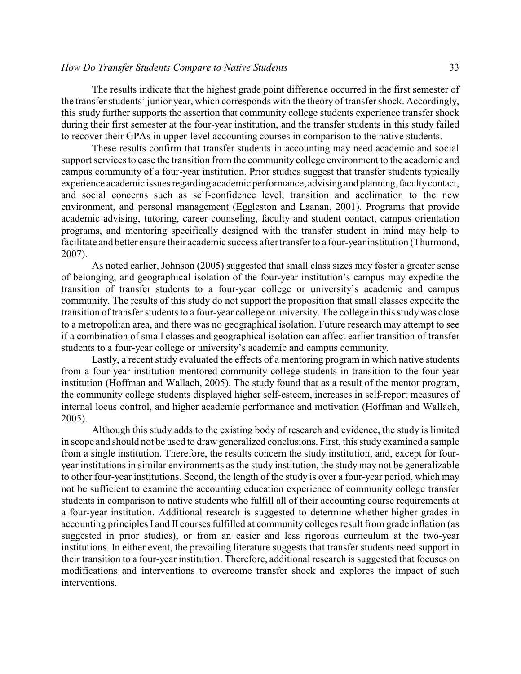### *How Do Transfer Students Compare to Native Students* 33

The results indicate that the highest grade point difference occurred in the first semester of the transfer students' junior year, which corresponds with the theory of transfer shock. Accordingly, this study further supports the assertion that community college students experience transfer shock during their first semester at the four-year institution, and the transfer students in this study failed to recover their GPAs in upper-level accounting courses in comparison to the native students.

These results confirm that transfer students in accounting may need academic and social support services to ease the transition from the community college environment to the academic and campus community of a four-year institution. Prior studies suggest that transfer students typically experience academic issues regarding academic performance, advising and planning,facultycontact, and social concerns such as self-confidence level, transition and acclimation to the new environment, and personal management (Eggleston and Laanan, 2001). Programs that provide academic advising, tutoring, career counseling, faculty and student contact, campus orientation programs, and mentoring specifically designed with the transfer student in mind may help to facilitate and better ensure their academic success after transfer to a four-year institution (Thurmond, 2007).

As noted earlier, Johnson (2005) suggested that small class sizes may foster a greater sense of belonging, and geographical isolation of the four-year institution's campus may expedite the transition of transfer students to a four-year college or university's academic and campus community. The results of this study do not support the proposition that small classes expedite the transition of transfer students to a four-year college or university. The college in this study was close to a metropolitan area, and there was no geographical isolation. Future research may attempt to see if a combination of small classes and geographical isolation can affect earlier transition of transfer students to a four-year college or university's academic and campus community.

Lastly, a recent study evaluated the effects of a mentoring program in which native students from a four-year institution mentored community college students in transition to the four-year institution (Hoffman and Wallach, 2005). The study found that as a result of the mentor program, the community college students displayed higher self-esteem, increases in self-report measures of internal locus control, and higher academic performance and motivation (Hoffman and Wallach, 2005).

Although this study adds to the existing body of research and evidence, the study is limited in scope and should not be used to draw generalized conclusions. First, this study examined a sample from a single institution. Therefore, the results concern the study institution, and, except for fouryear institutions in similar environments as the study institution, the study may not be generalizable to other four-year institutions. Second, the length of the study is over a four-year period, which may not be sufficient to examine the accounting education experience of community college transfer students in comparison to native students who fulfill all of their accounting course requirements at a four-year institution. Additional research is suggested to determine whether higher grades in accounting principles I and II courses fulfilled at community colleges result from grade inflation (as suggested in prior studies), or from an easier and less rigorous curriculum at the two-year institutions. In either event, the prevailing literature suggests that transfer students need support in their transition to a four-year institution. Therefore, additional research is suggested that focuses on modifications and interventions to overcome transfer shock and explores the impact of such interventions.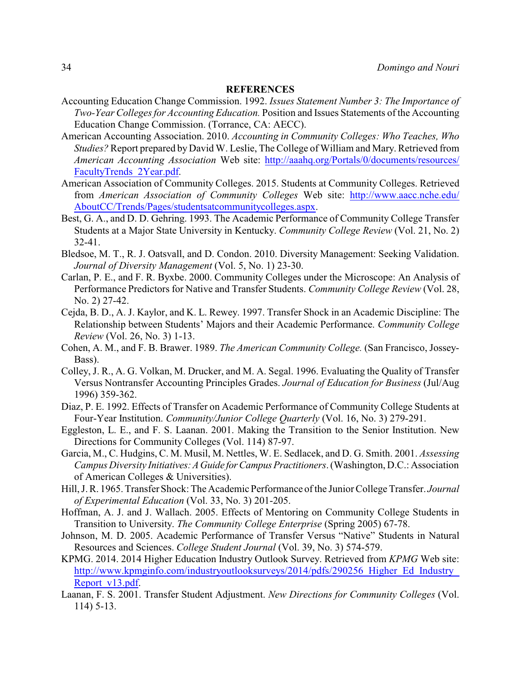#### **REFERENCES**

- Accounting Education Change Commission. 1992. *Issues Statement Number 3: The Importance of Two-Year Colleges for Accounting Education.* Position and Issues Statements of the Accounting Education Change Commission. (Torrance, CA: AECC).
- American Accounting Association. 2010. *Accounting in Community Colleges: Who Teaches, Who Studies?* Report prepared by David W. Leslie, The College of William and Mary. Retrieved from *American Accounting Association* Web site: [http://aaahq.org/Portals/0/documents/resources/](http://aaahq.org/Portals/0/documents/resources/FacultyTrends_2Year.pdf) [FacultyTrends\\_2Year.pdf](http://aaahq.org/Portals/0/documents/resources/FacultyTrends_2Year.pdf).
- American Association of Community Colleges. 2015. Students at Community Colleges. Retrieved from *American Association of Community Colleges* Web site: [http://www.aacc.nche.edu/](http://www.aacc.nche.edu/AboutCC/Trends/Pages/studentsatcommunitycolleges.aspx) [AboutCC/Trends/Pages/studentsatcommunitycolleges.aspx](http://www.aacc.nche.edu/AboutCC/Trends/Pages/studentsatcommunitycolleges.aspx).
- Best, G. A., and D. D. Gehring. 1993. The Academic Performance of Community College Transfer Students at a Major State University in Kentucky. *Community College Review* (Vol. 21, No. 2) 32-41.
- Bledsoe, M. T., R. J. Oatsvall, and D. Condon. 2010. Diversity Management: Seeking Validation. *Journal of Diversity Management* (Vol. 5, No. 1) 23-30.
- Carlan, P. E., and F. R. Byxbe. 2000. Community Colleges under the Microscope: An Analysis of Performance Predictors for Native and Transfer Students. *Community College Review* (Vol. 28, No. 2) 27-42.
- Cejda, B. D., A. J. Kaylor, and K. L. Rewey. 1997. Transfer Shock in an Academic Discipline: The Relationship between Students' Majors and their Academic Performance. *Community College Review* (Vol. 26, No. 3) 1-13.
- Cohen, A. M., and F. B. Brawer. 1989. *The American Community College.* (San Francisco, Jossey-Bass).
- Colley, J. R., A. G. Volkan, M. Drucker, and M. A. Segal. 1996. Evaluating the Quality of Transfer Versus Nontransfer Accounting Principles Grades. *Journal of Education for Business* (Jul/Aug 1996) 359-362.
- Diaz, P. E. 1992. Effects of Transfer on Academic Performance of Community College Students at Four-Year Institution. *Community/Junior College Quarterly* (Vol. 16, No. 3) 279-291.
- Eggleston, L. E., and F. S. Laanan. 2001. Making the Transition to the Senior Institution. New Directions for Community Colleges (Vol. 114) 87-97.
- Garcia, M., C. Hudgins, C. M. Musil, M. Nettles, W. E. Sedlacek, and D. G. Smith. 2001. *Assessing Campus Diversity Initiatives:AGuide forCampusPractitioners*. (Washington, D.C.: Association of American Colleges & Universities).
- Hill, J. R. 1965. Transfer Shock: The Academic Performance of the Junior College Transfer. *Journal of Experimental Education* (Vol. 33, No. 3) 201-205.
- Hoffman, A. J. and J. Wallach. 2005. Effects of Mentoring on Community College Students in Transition to University. *The Community College Enterprise* (Spring 2005) 67-78.
- Johnson, M. D. 2005. Academic Performance of Transfer Versus "Native" Students in Natural Resources and Sciences. *College Student Journal* (Vol. 39, No. 3) 574-579.
- KPMG. 2014. 2014 Higher Education Industry Outlook Survey. Retrieved from *KPMG* Web site: [http://www.kpmginfo.com/industryoutlooksurveys/2014/pdfs/290256\\_Higher\\_Ed\\_Industry\\_](http://www.kpmginfo.com/industryoutlooksurveys/2014/pdfs/290256_Higher_Ed_Industry_Report_v13.pdf) [Report\\_v13.pdf](http://www.kpmginfo.com/industryoutlooksurveys/2014/pdfs/290256_Higher_Ed_Industry_Report_v13.pdf).
- Laanan, F. S. 2001. Transfer Student Adjustment. *New Directions for Community Colleges* (Vol. 114) 5-13.